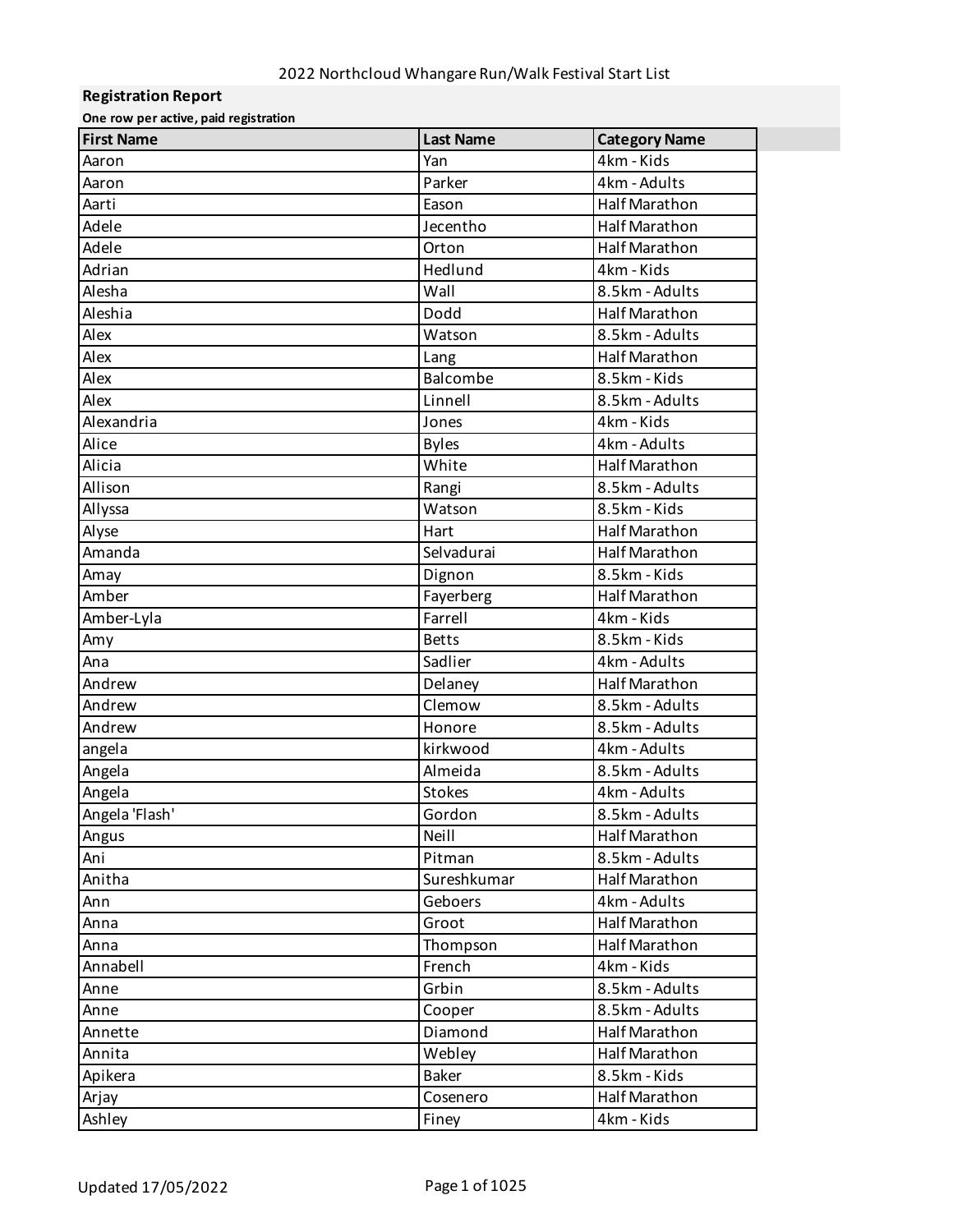## **Registration Report**

**One row per active, paid registration**

| <b>First Name</b> | <b>Last Name</b> | <b>Category Name</b> |
|-------------------|------------------|----------------------|
| Aaron             | Yan              | 4km - Kids           |
| Aaron             | Parker           | 4km - Adults         |
| Aarti             | Eason            | Half Marathon        |
| Adele             | Jecentho         | <b>Half Marathon</b> |
| Adele             | Orton            | <b>Half Marathon</b> |
| Adrian            | Hedlund          | 4km - Kids           |
| Alesha            | Wall             | 8.5km - Adults       |
| Aleshia           | Dodd             | <b>Half Marathon</b> |
| Alex              | Watson           | 8.5km - Adults       |
| Alex              | Lang             | Half Marathon        |
| Alex              | Balcombe         | 8.5km - Kids         |
| Alex              | Linnell          | 8.5km - Adults       |
| Alexandria        | Jones            | 4km - Kids           |
| Alice             | <b>Byles</b>     | 4km - Adults         |
| Alicia            | White            | Half Marathon        |
| Allison           | Rangi            | 8.5km - Adults       |
| Allyssa           | Watson           | 8.5km - Kids         |
| Alyse             | Hart             | <b>Half Marathon</b> |
| Amanda            | Selvadurai       | Half Marathon        |
| Amay              | Dignon           | 8.5km - Kids         |
| Amber             | Fayerberg        | Half Marathon        |
| Amber-Lyla        | Farrell          | 4km - Kids           |
| Amy               | <b>Betts</b>     | 8.5km - Kids         |
| Ana               | Sadlier          | 4km - Adults         |
| Andrew            | Delaney          | Half Marathon        |
| Andrew            | Clemow           | 8.5km - Adults       |
| Andrew            | Honore           | 8.5km - Adults       |
| angela            | kirkwood         | 4km - Adults         |
| Angela            | Almeida          | 8.5km - Adults       |
| Angela            | <b>Stokes</b>    | 4km - Adults         |
| Angela 'Flash'    | Gordon           | 8.5km - Adults       |
| Angus             | Neill            | Half Marathon        |
| Ani               | Pitman           | 8.5km - Adults       |
| Anitha            | Sureshkumar      | Half Marathon        |
| Ann               | Geboers          | 4km - Adults         |
| Anna              | Groot            | Half Marathon        |
| Anna              | Thompson         | Half Marathon        |
| Annabell          | French           | 4km - Kids           |
| Anne              | Grbin            | 8.5km - Adults       |
| Anne              | Cooper           | 8.5km - Adults       |
| Annette           | Diamond          | <b>Half Marathon</b> |
| Annita            | Webley           | Half Marathon        |
| Apikera           | <b>Baker</b>     | 8.5km - Kids         |
| Arjay             | Cosenero         | Half Marathon        |
| Ashley            | Finey            | 4km - Kids           |
|                   |                  |                      |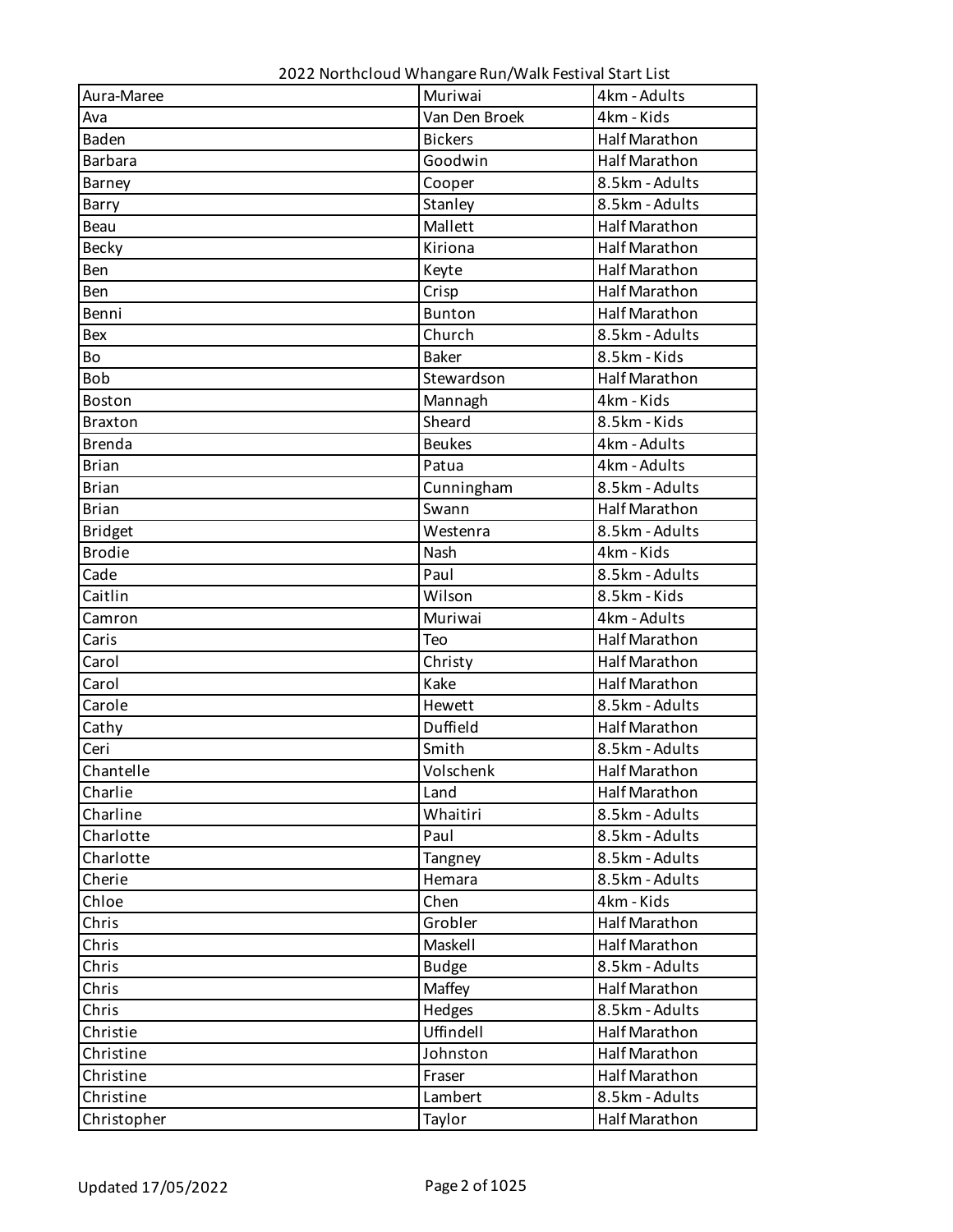2022 Northcloud Whangare Run/Walk Festival Start List

| Aura-Maree     | Muriwai        | 4km - Adults         |
|----------------|----------------|----------------------|
| Ava            | Van Den Broek  | 4km - Kids           |
| Baden          | <b>Bickers</b> | Half Marathon        |
| <b>Barbara</b> | Goodwin        | Half Marathon        |
| Barney         | Cooper         | 8.5km - Adults       |
| <b>Barry</b>   | Stanley        | 8.5km - Adults       |
| Beau           | Mallett        | Half Marathon        |
| <b>Becky</b>   | Kiriona        | <b>Half Marathon</b> |
| Ben            | Keyte          | <b>Half Marathon</b> |
| Ben            | Crisp          | Half Marathon        |
| Benni          | <b>Bunton</b>  | <b>Half Marathon</b> |
| Bex            | Church         | 8.5km - Adults       |
| Bo             | <b>Baker</b>   | 8.5km - Kids         |
| <b>Bob</b>     | Stewardson     | Half Marathon        |
| Boston         | Mannagh        | 4km - Kids           |
| <b>Braxton</b> | Sheard         | 8.5km - Kids         |
| <b>Brenda</b>  | <b>Beukes</b>  | 4km - Adults         |
| <b>Brian</b>   | Patua          | 4km - Adults         |
| <b>Brian</b>   | Cunningham     | 8.5km - Adults       |
| <b>Brian</b>   | Swann          | <b>Half Marathon</b> |
| <b>Bridget</b> | Westenra       | 8.5km - Adults       |
| <b>Brodie</b>  | Nash           | 4km - Kids           |
| Cade           | Paul           | 8.5km - Adults       |
| Caitlin        | Wilson         | 8.5km - Kids         |
| Camron         | Muriwai        | 4km - Adults         |
| Caris          | Teo            | Half Marathon        |
| Carol          | Christy        | <b>Half Marathon</b> |
| Carol          | Kake           | <b>Half Marathon</b> |
| Carole         | Hewett         | 8.5km - Adults       |
| Cathy          | Duffield       | <b>Half Marathon</b> |
| Ceri           | Smith          | 8.5km - Adults       |
| Chantelle      | Volschenk      | Half Marathon        |
| Charlie        | Land           | <b>Half Marathon</b> |
| Charline       | Whaitiri       | 8.5km - Adults       |
| Charlotte      | Paul           | 8.5km - Adults       |
| Charlotte      | Tangney        | 8.5km - Adults       |
| Cherie         | Hemara         | 8.5km - Adults       |
| Chloe          | Chen           | 4km - Kids           |
| Chris          | Grobler        | Half Marathon        |
| Chris          | Maskell        | Half Marathon        |
| Chris          | <b>Budge</b>   | 8.5km - Adults       |
| Chris          | Maffey         | Half Marathon        |
| Chris          | Hedges         | 8.5km - Adults       |
| Christie       | Uffindell      | Half Marathon        |
| Christine      | Johnston       | Half Marathon        |
| Christine      | Fraser         | Half Marathon        |
| Christine      | Lambert        | 8.5km - Adults       |
| Christopher    | Taylor         | Half Marathon        |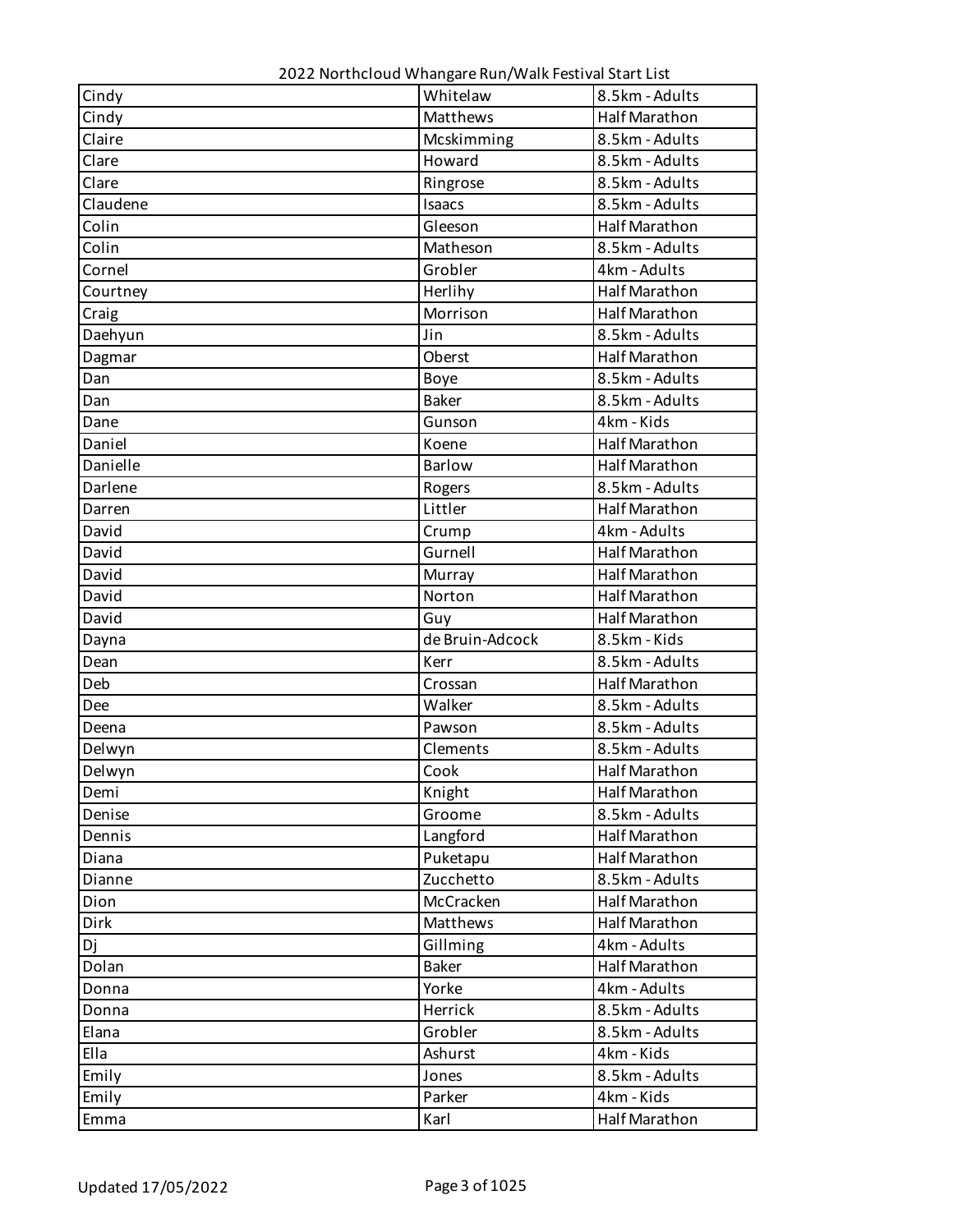2022 Northcloud Whangare Run/Walk Festival Start List

| Cindy       | Whitelaw        | 8.5km - Adults       |
|-------------|-----------------|----------------------|
| Cindy       | Matthews        | <b>Half Marathon</b> |
| Claire      | Mcskimming      | 8.5km - Adults       |
| Clare       | Howard          | 8.5km - Adults       |
| Clare       | Ringrose        | 8.5km - Adults       |
| Claudene    | Isaacs          | 8.5km - Adults       |
| Colin       | Gleeson         | Half Marathon        |
| Colin       | Matheson        | 8.5km - Adults       |
| Cornel      | Grobler         | 4km - Adults         |
| Courtney    | Herlihy         | Half Marathon        |
| Craig       | Morrison        | <b>Half Marathon</b> |
| Daehyun     | Jin             | 8.5km - Adults       |
| Dagmar      | Oberst          | <b>Half Marathon</b> |
| Dan         | Boye            | 8.5km - Adults       |
| Dan         | <b>Baker</b>    | 8.5km - Adults       |
| Dane        | Gunson          | 4km - Kids           |
| Daniel      | Koene           | Half Marathon        |
| Danielle    | <b>Barlow</b>   | <b>Half Marathon</b> |
| Darlene     | Rogers          | 8.5km - Adults       |
| Darren      | Littler         | Half Marathon        |
| David       | Crump           | 4km - Adults         |
| David       | Gurnell         | Half Marathon        |
| David       | Murray          | Half Marathon        |
| David       | Norton          | <b>Half Marathon</b> |
|             |                 |                      |
| David       | Guy             | <b>Half Marathon</b> |
| Dayna       | de Bruin-Adcock | 8.5km - Kids         |
| Dean        | Kerr            | 8.5km - Adults       |
| Deb         | Crossan         | Half Marathon        |
| Dee         | Walker          | 8.5km - Adults       |
| Deena       | Pawson          | 8.5km - Adults       |
| Delwyn      | Clements        | 8.5km - Adults       |
| Delwyn      | Cook            | Half Marathon        |
| Demi        | Knight          | Half Marathon        |
| Denise      | Groome          | 8.5km - Adults       |
| Dennis      | Langford        | Half Marathon        |
| Diana       | Puketapu        | Half Marathon        |
| Dianne      | Zucchetto       | 8.5km - Adults       |
| Dion        | McCracken       | Half Marathon        |
| <b>Dirk</b> | Matthews        | Half Marathon        |
| Dj          | Gillming        | 4km - Adults         |
| Dolan       | <b>Baker</b>    | Half Marathon        |
| Donna       | Yorke           | 4km - Adults         |
| Donna       | Herrick         | 8.5km - Adults       |
| Elana       | Grobler         | 8.5km - Adults       |
| Ella        | Ashurst         | 4km - Kids           |
| Emily       | Jones           | 8.5km - Adults       |
| Emily       | Parker          | 4km - Kids           |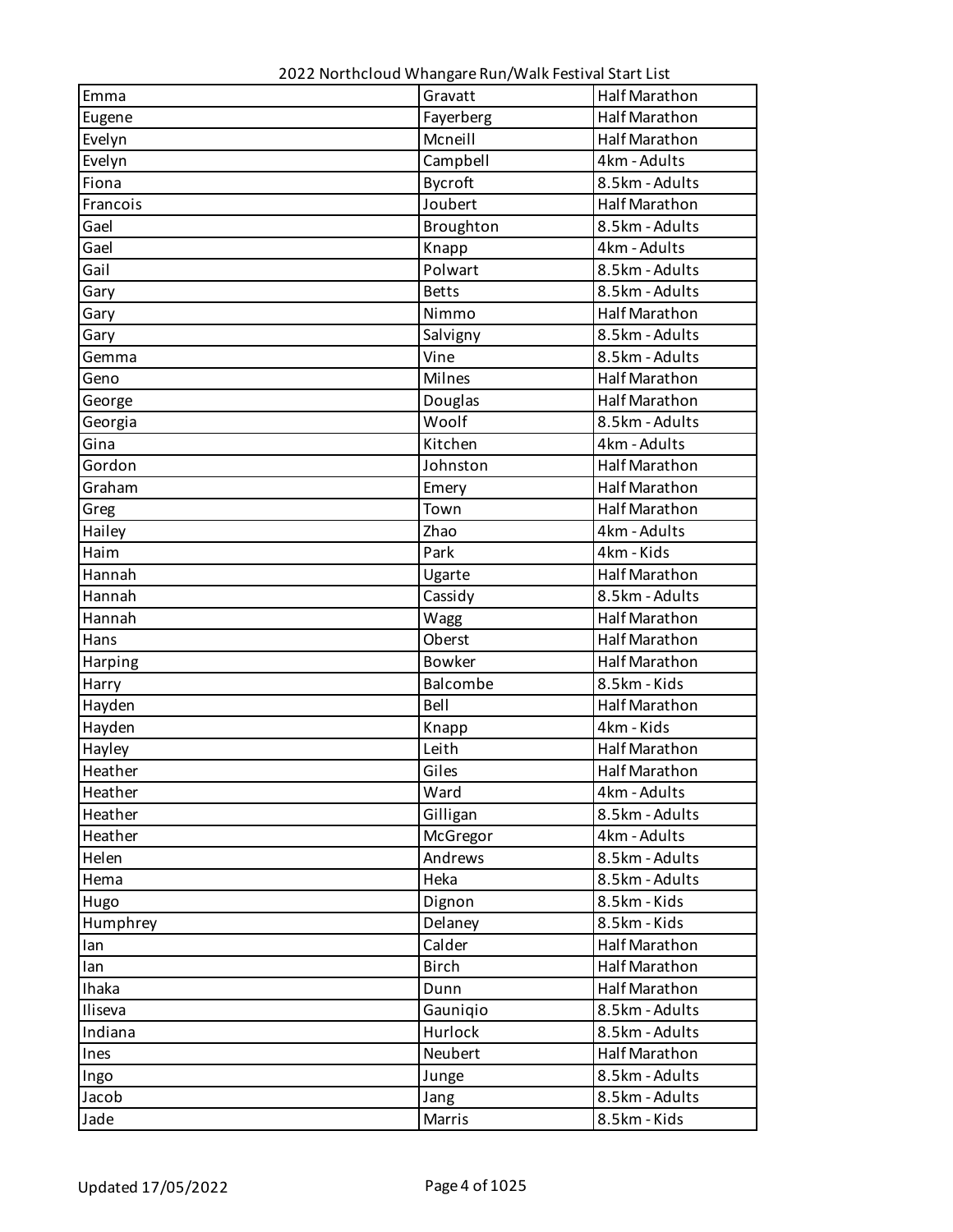2022 Northcloud Whangare Run/Walk Festival Start List

| Emma     | Gravatt       | Half Marathon        |
|----------|---------------|----------------------|
| Eugene   | Fayerberg     | <b>Half Marathon</b> |
| Evelyn   | Mcneill       | <b>Half Marathon</b> |
| Evelyn   | Campbell      | 4km - Adults         |
| Fiona    | Bycroft       | 8.5km - Adults       |
| Francois | Joubert       | <b>Half Marathon</b> |
| Gael     | Broughton     | 8.5km - Adults       |
| Gael     | Knapp         | 4km - Adults         |
| Gail     | Polwart       | 8.5km - Adults       |
| Gary     | <b>Betts</b>  | 8.5km - Adults       |
| Gary     | Nimmo         | <b>Half Marathon</b> |
| Gary     | Salvigny      | 8.5km - Adults       |
| Gemma    | Vine          | 8.5km - Adults       |
| Geno     | Milnes        | Half Marathon        |
| George   | Douglas       | <b>Half Marathon</b> |
| Georgia  | Woolf         | 8.5km - Adults       |
| Gina     | Kitchen       | 4km - Adults         |
| Gordon   | Johnston      | <b>Half Marathon</b> |
| Graham   | Emery         | <b>Half Marathon</b> |
| Greg     | Town          | Half Marathon        |
| Hailey   | Zhao          | 4km - Adults         |
| Haim     | Park          | 4km - Kids           |
| Hannah   | Ugarte        | Half Marathon        |
| Hannah   | Cassidy       | 8.5km - Adults       |
| Hannah   | Wagg          | <b>Half Marathon</b> |
| Hans     | Oberst        | Half Marathon        |
| Harping  | <b>Bowker</b> | <b>Half Marathon</b> |
| Harry    | Balcombe      | 8.5km - Kids         |
| Hayden   | Bell          | Half Marathon        |
| Hayden   | Knapp         | 4km - Kids           |
| Hayley   | Leith         | <b>Half Marathon</b> |
| Heather  | Giles         | Half Marathon        |
| Heather  | Ward          | 4km - Adults         |
| Heather  | Gilligan      | 8.5km - Adults       |
| Heather  | McGregor      | 4km - Adults         |
| Helen    | Andrews       | 8.5km - Adults       |
| Hema     | Heka          | 8.5km - Adults       |
| Hugo     | Dignon        | 8.5km - Kids         |
| Humphrey | Delaney       | 8.5km - Kids         |
| lan      | Calder        | Half Marathon        |
| lan      | <b>Birch</b>  | Half Marathon        |
| Ihaka    | Dunn          | Half Marathon        |
| Iliseva  | Gauniqio      | 8.5km - Adults       |
| Indiana  | Hurlock       | 8.5km - Adults       |
| Ines     | Neubert       | Half Marathon        |
| Ingo     | Junge         | 8.5km - Adults       |
| Jacob    | Jang          | 8.5km - Adults       |
| Jade     | Marris        | 8.5km - Kids         |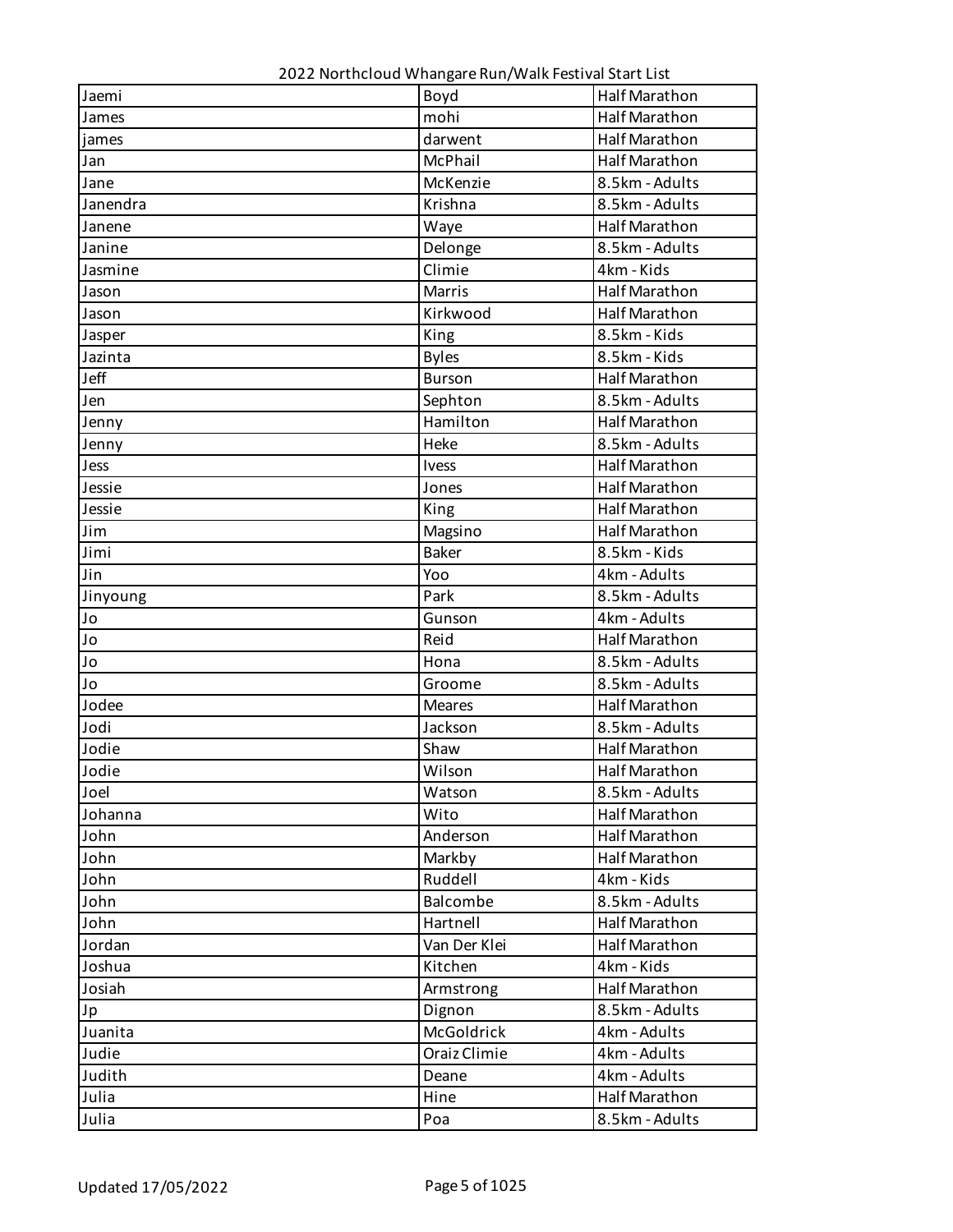2022 Northcloud Whangare Run/Walk Festival Start List

| Jaemi    | Boyd          | <b>Half Marathon</b> |
|----------|---------------|----------------------|
| James    | mohi          | Half Marathon        |
| james    | darwent       | Half Marathon        |
| Jan      | McPhail       | <b>Half Marathon</b> |
| Jane     | McKenzie      | 8.5km - Adults       |
| Janendra | Krishna       | 8.5km - Adults       |
| Janene   | Waye          | <b>Half Marathon</b> |
| Janine   | Delonge       | 8.5km - Adults       |
| Jasmine  | Climie        | 4km - Kids           |
| Jason    | <b>Marris</b> | <b>Half Marathon</b> |
| Jason    | Kirkwood      | Half Marathon        |
| Jasper   | King          | 8.5km - Kids         |
| Jazinta  | <b>Byles</b>  | 8.5km - Kids         |
| Jeff     | <b>Burson</b> | Half Marathon        |
| Jen      | Sephton       | 8.5km - Adults       |
| Jenny    | Hamilton      | <b>Half Marathon</b> |
| Jenny    | Heke          | 8.5km - Adults       |
| Jess     | <b>Ivess</b>  | <b>Half Marathon</b> |
| Jessie   | Jones         | <b>Half Marathon</b> |
| Jessie   | King          | Half Marathon        |
| Jim      | Magsino       | <b>Half Marathon</b> |
| Jimi     | <b>Baker</b>  | 8.5km - Kids         |
| Jin      | Yoo           | 4km - Adults         |
| Jinyoung | Park          | 8.5km - Adults       |
| Jo       | Gunson        | 4km - Adults         |
| Jo       | Reid          | Half Marathon        |
| Jo       | Hona          | 8.5km - Adults       |
| Jo       | Groome        | 8.5km - Adults       |
| Jodee    | <b>Meares</b> | Half Marathon        |
| Jodi     | Jackson       | 8.5km - Adults       |
| Jodie    | Shaw          | <b>Half Marathon</b> |
| Jodie    | Wilson        | Half Marathon        |
| Joel     | Watson        | 8.5km - Adults       |
| Johanna  | Wito          | <b>Half Marathon</b> |
| John     | Anderson      | Half Marathon        |
| John     | Markby        | <b>Half Marathon</b> |
| John     | Ruddell       | 4km - Kids           |
| John     | Balcombe      | 8.5km - Adults       |
| John     | Hartnell      | <b>Half Marathon</b> |
| Jordan   | Van Der Klei  | Half Marathon        |
| Joshua   | Kitchen       | 4km - Kids           |
| Josiah   | Armstrong     | Half Marathon        |
| Jp       | Dignon        | 8.5km - Adults       |
| Juanita  | McGoldrick    | 4km - Adults         |
| Judie    | Oraiz Climie  | 4km - Adults         |
| Judith   | Deane         | 4km - Adults         |
| Julia    | Hine          | Half Marathon        |
| Julia    | Poa           | 8.5km - Adults       |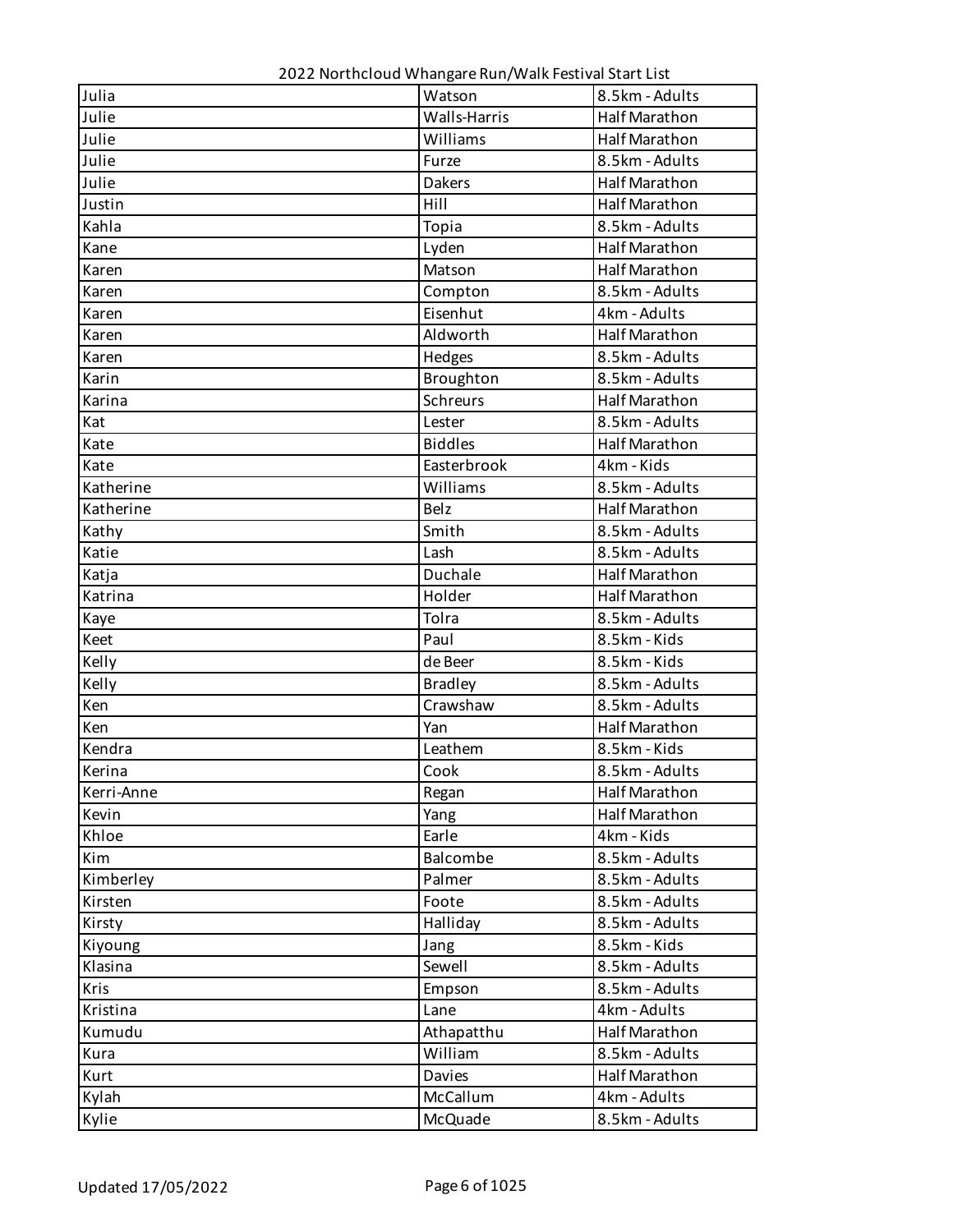2022 Northcloud Whangare Run/Walk Festival Start List

| Julia      | Watson         | 8.5km - Adults       |
|------------|----------------|----------------------|
| Julie      | Walls-Harris   | Half Marathon        |
| Julie      | Williams       | Half Marathon        |
| Julie      | Furze          | 8.5km - Adults       |
| Julie      | <b>Dakers</b>  | <b>Half Marathon</b> |
| Justin     | Hill           | Half Marathon        |
| Kahla      | Topia          | 8.5km - Adults       |
| Kane       | Lyden          | <b>Half Marathon</b> |
| Karen      | Matson         | Half Marathon        |
| Karen      | Compton        | 8.5km - Adults       |
| Karen      | Eisenhut       | 4km - Adults         |
| Karen      | Aldworth       | Half Marathon        |
| Karen      | Hedges         | 8.5km - Adults       |
| Karin      | Broughton      | 8.5km - Adults       |
| Karina     | Schreurs       | Half Marathon        |
| Kat        | Lester         | 8.5km - Adults       |
| Kate       | <b>Biddles</b> | Half Marathon        |
| Kate       | Easterbrook    | 4km - Kids           |
| Katherine  | Williams       | 8.5km - Adults       |
| Katherine  | Belz           | Half Marathon        |
| Kathy      | Smith          | 8.5km - Adults       |
| Katie      | Lash           | 8.5km - Adults       |
| Katja      | Duchale        | <b>Half Marathon</b> |
| Katrina    | Holder         | Half Marathon        |
| Kaye       | Tolra          | 8.5km - Adults       |
| Keet       | Paul           | 8.5km - Kids         |
| Kelly      | de Beer        | 8.5km - Kids         |
| Kelly      | <b>Bradley</b> | 8.5km - Adults       |
| Ken        | Crawshaw       | 8.5km - Adults       |
| Ken        | Yan            | <b>Half Marathon</b> |
| Kendra     | Leathem        | 8.5km - Kids         |
| Kerina     | Cook           | 8.5km - Adults       |
| Kerri-Anne | Regan          | Half Marathon        |
| Kevin      | Yang           | <b>Half Marathon</b> |
| Khloe      | Earle          | 4km - Kids           |
| Kim        | Balcombe       | 8.5km - Adults       |
| Kimberley  | Palmer         | 8.5km - Adults       |
| Kirsten    | Foote          | 8.5km - Adults       |
| Kirsty     | Halliday       | 8.5km - Adults       |
| Kiyoung    | Jang           | 8.5km - Kids         |
| Klasina    | Sewell         | 8.5km - Adults       |
| Kris       | Empson         | 8.5km - Adults       |
| Kristina   | Lane           | 4km - Adults         |
| Kumudu     | Athapatthu     | Half Marathon        |
| Kura       | William        | 8.5km - Adults       |
| Kurt       | Davies         | Half Marathon        |
| Kylah      | McCallum       | 4km - Adults         |
| Kylie      | McQuade        | 8.5km - Adults       |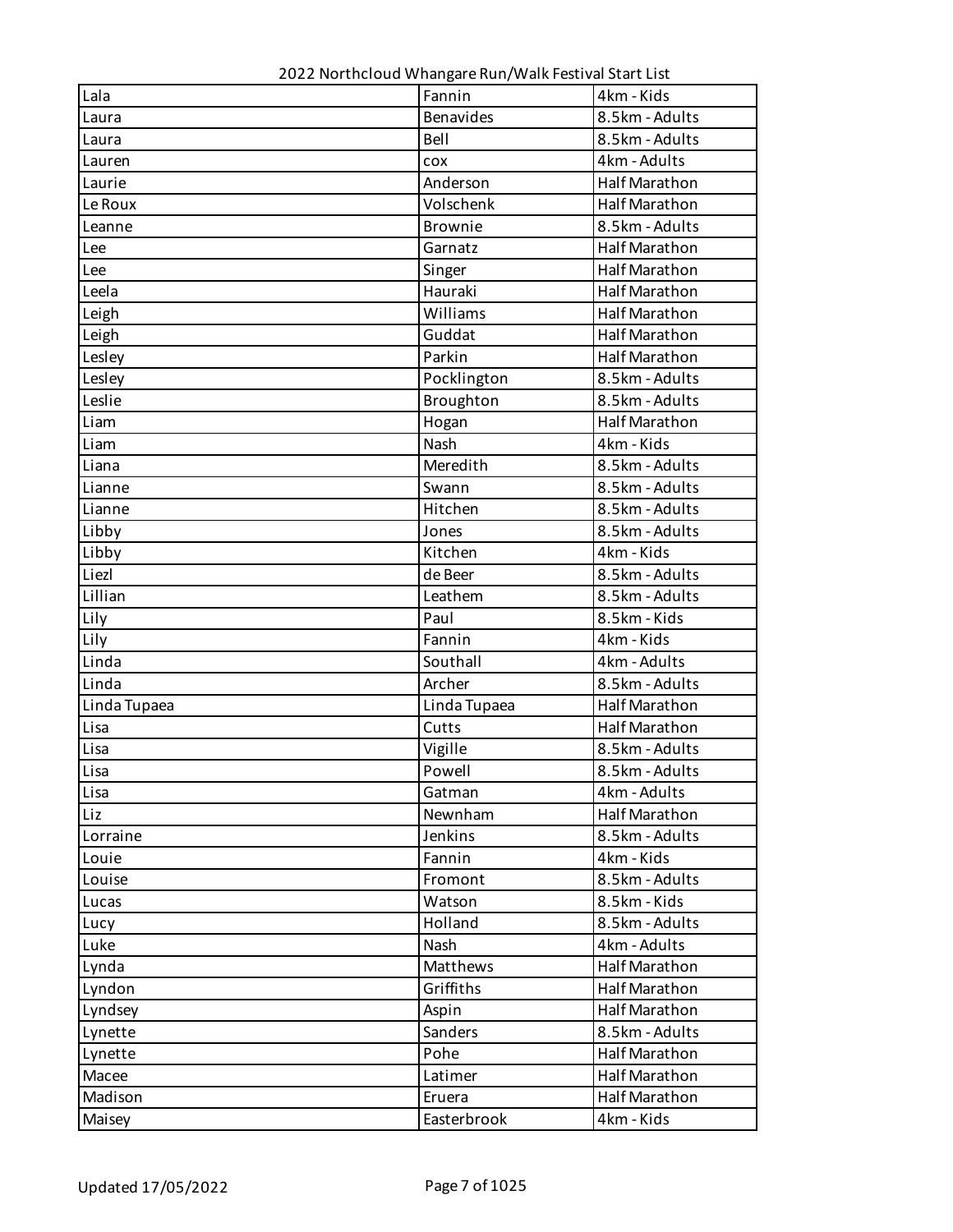2022 Northcloud Whangare Run/Walk Festival Start List

| Lala         | Fannin           | 4km - Kids     |
|--------------|------------------|----------------|
| Laura        | <b>Benavides</b> | 8.5km - Adults |
| Laura        | Bell             | 8.5km - Adults |
| Lauren       | <b>COX</b>       | 4km - Adults   |
| Laurie       | Anderson         | Half Marathon  |
| Le Roux      | Volschenk        | Half Marathon  |
| Leanne       | <b>Brownie</b>   | 8.5km - Adults |
| Lee          | Garnatz          | Half Marathon  |
| Lee          | Singer           | Half Marathon  |
| Leela        | Hauraki          | Half Marathon  |
| Leigh        | Williams         | Half Marathon  |
| Leigh        | Guddat           | Half Marathon  |
| Lesley       | Parkin           | Half Marathon  |
| Lesley       | Pocklington      | 8.5km - Adults |
| Leslie       | Broughton        | 8.5km - Adults |
| Liam         | Hogan            | Half Marathon  |
| Liam         | Nash             | 4km - Kids     |
| Liana        | Meredith         | 8.5km - Adults |
| Lianne       | Swann            | 8.5km - Adults |
| Lianne       | Hitchen          | 8.5km - Adults |
| Libby        | Jones            | 8.5km - Adults |
| Libby        | Kitchen          | 4km - Kids     |
| Liezl        | de Beer          | 8.5km - Adults |
| Lillian      | Leathem          | 8.5km - Adults |
| Lily         | Paul             | 8.5km - Kids   |
| Lily         | Fannin           | 4km - Kids     |
| Linda        | Southall         | 4km - Adults   |
| Linda        | Archer           | 8.5km - Adults |
| Linda Tupaea | Linda Tupaea     | Half Marathon  |
| Lisa         | Cutts            | Half Marathon  |
| Lisa         | Vigille          | 8.5km - Adults |
| Lisa         | Powell           | 8.5km - Adults |
| Lisa         | Gatman           | 4km - Adults   |
| Liz          | Newnham          | Half Marathon  |
| Lorraine     | Jenkins          | 8.5km - Adults |
| Louie        | Fannin           | 4km - Kids     |
| Louise       | Fromont          | 8.5km - Adults |
| Lucas        | Watson           | 8.5km - Kids   |
| Lucy         | Holland          | 8.5km - Adults |
| Luke         | Nash             | 4km - Adults   |
| Lynda        | Matthews         | Half Marathon  |
| Lyndon       | Griffiths        | Half Marathon  |
| Lyndsey      | Aspin            | Half Marathon  |
| Lynette      | Sanders          | 8.5km - Adults |
| Lynette      | Pohe             | Half Marathon  |
| Macee        | Latimer          | Half Marathon  |
| Madison      | Eruera           | Half Marathon  |
| Maisey       | Easterbrook      | 4km - Kids     |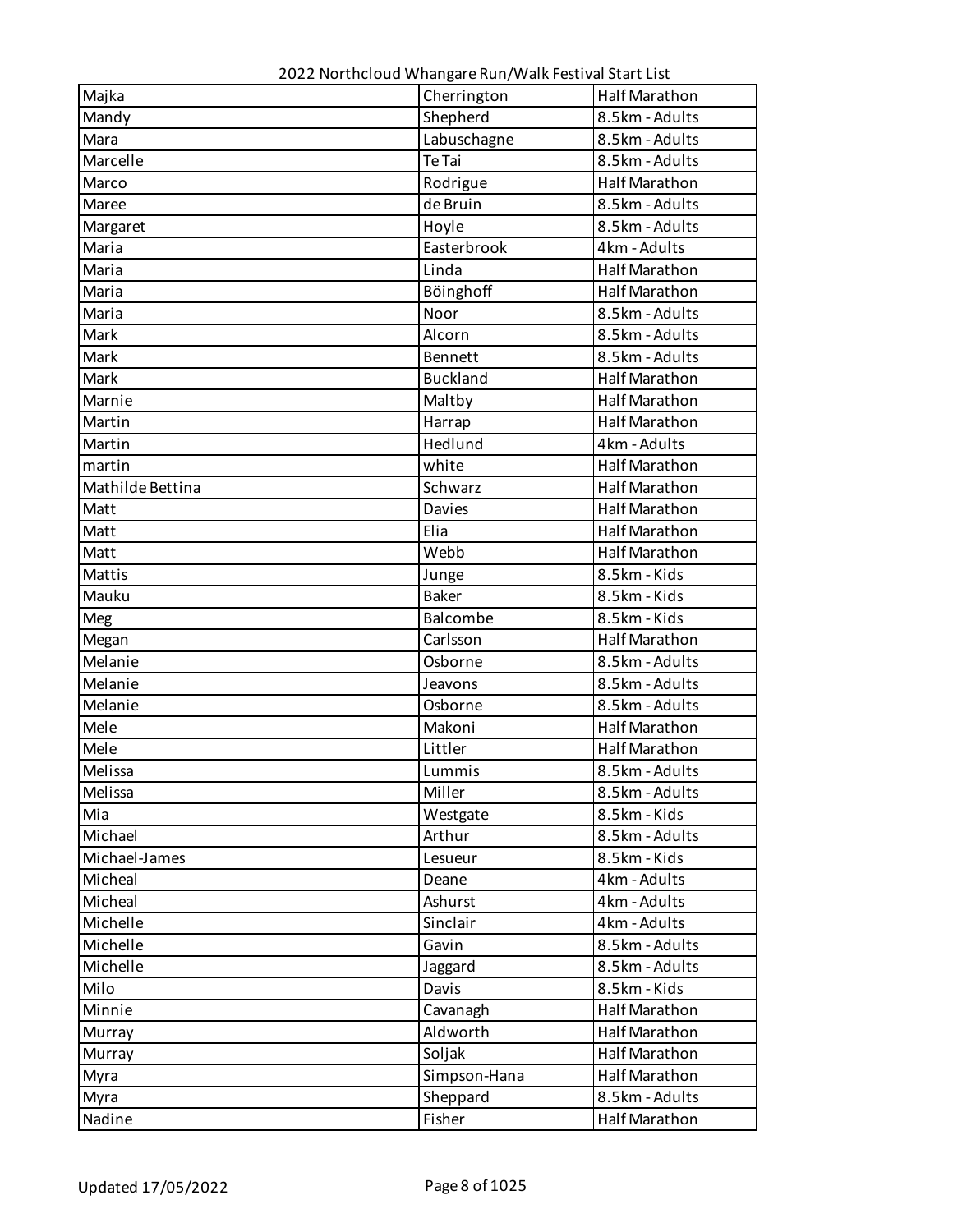2022 Northcloud Whangare Run/Walk Festival Start List

| Majka            | Cherrington     | <b>Half Marathon</b> |
|------------------|-----------------|----------------------|
| Mandy            | Shepherd        | 8.5km - Adults       |
| Mara             | Labuschagne     | 8.5km - Adults       |
| Marcelle         | Te Tai          | 8.5km - Adults       |
| Marco            | Rodrigue        | Half Marathon        |
| Maree            | de Bruin        | 8.5km - Adults       |
| Margaret         | Hoyle           | 8.5km - Adults       |
| Maria            | Easterbrook     | 4km - Adults         |
| Maria            | Linda           | <b>Half Marathon</b> |
| Maria            | Böinghoff       | <b>Half Marathon</b> |
| Maria            | Noor            | 8.5km - Adults       |
| Mark             | Alcorn          | 8.5km - Adults       |
| Mark             | Bennett         | 8.5km - Adults       |
| Mark             | <b>Buckland</b> | Half Marathon        |
| Marnie           | Maltby          | <b>Half Marathon</b> |
| Martin           | Harrap          | <b>Half Marathon</b> |
| Martin           | Hedlund         | 4km - Adults         |
| martin           | white           | <b>Half Marathon</b> |
| Mathilde Bettina | Schwarz         | <b>Half Marathon</b> |
| Matt             | Davies          | <b>Half Marathon</b> |
| Matt             | Elia            | <b>Half Marathon</b> |
| Matt             | Webb            | <b>Half Marathon</b> |
| Mattis           | Junge           | 8.5km - Kids         |
| Mauku            | <b>Baker</b>    | 8.5km - Kids         |
| Meg              | Balcombe        | 8.5km - Kids         |
| Megan            | Carlsson        | Half Marathon        |
| Melanie          | Osborne         | 8.5km - Adults       |
| Melanie          | Jeavons         | 8.5km - Adults       |
| Melanie          | Osborne         | 8.5km - Adults       |
| Mele             | Makoni          | <b>Half Marathon</b> |
| Mele             | Littler         | Half Marathon        |
| Melissa          | Lummis          | 8.5km - Adults       |
| Melissa          | Miller          | 8.5km - Adults       |
| Mia              | Westgate        | 8.5km - Kids         |
| Michael          | Arthur          | 8.5km - Adults       |
| Michael-James    | Lesueur         | 8.5km - Kids         |
| Micheal          | Deane           | 4km - Adults         |
| Micheal          | Ashurst         | 4km - Adults         |
| Michelle         | Sinclair        | 4km - Adults         |
| Michelle         | Gavin           | 8.5km - Adults       |
| Michelle         | Jaggard         | 8.5km - Adults       |
| Milo             | Davis           | 8.5km - Kids         |
| Minnie           | Cavanagh        | Half Marathon        |
| Murray           | Aldworth        | Half Marathon        |
| Murray           | Soljak          | Half Marathon        |
| Myra             | Simpson-Hana    | Half Marathon        |
| Myra             | Sheppard        | 8.5km - Adults       |
| Nadine           | Fisher          | Half Marathon        |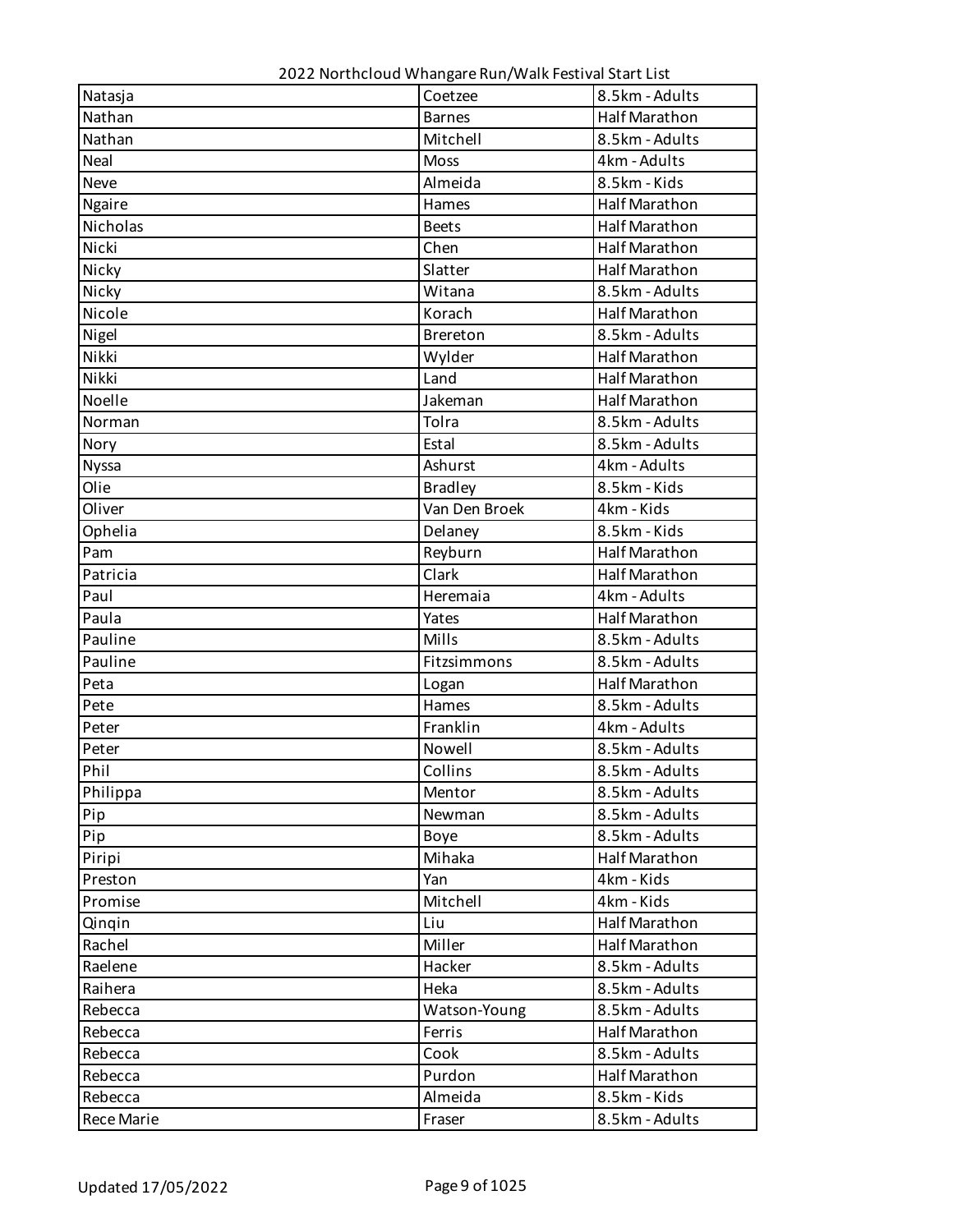2022 Northcloud Whangare Run/Walk Festival Start List

| Natasja           | Coetzee        | 8.5km - Adults       |
|-------------------|----------------|----------------------|
| Nathan            | <b>Barnes</b>  | <b>Half Marathon</b> |
| Nathan            | Mitchell       | 8.5km - Adults       |
| Neal              | Moss           | 4km - Adults         |
| Neve              | Almeida        | 8.5km - Kids         |
| <b>Ngaire</b>     | Hames          | <b>Half Marathon</b> |
| Nicholas          | <b>Beets</b>   | <b>Half Marathon</b> |
| Nicki             | Chen           | Half Marathon        |
| Nicky             | Slatter        | <b>Half Marathon</b> |
| Nicky             | Witana         | 8.5km - Adults       |
| Nicole            | Korach         | <b>Half Marathon</b> |
| Nigel             | Brereton       | 8.5km - Adults       |
| Nikki             | Wylder         | <b>Half Marathon</b> |
| Nikki             | Land           | Half Marathon        |
| Noelle            | Jakeman        | <b>Half Marathon</b> |
| Norman            | Tolra          | 8.5km - Adults       |
| Nory              | Estal          | 8.5km - Adults       |
| <b>Nyssa</b>      | Ashurst        | 4km - Adults         |
| Olie              | <b>Bradley</b> | 8.5km - Kids         |
| Oliver            | Van Den Broek  | 4km - Kids           |
| Ophelia           | Delaney        | 8.5km - Kids         |
| Pam               | Reyburn        | <b>Half Marathon</b> |
| Patricia          | Clark          | <b>Half Marathon</b> |
| Paul              | Heremaia       | 4km - Adults         |
| Paula             | Yates          | <b>Half Marathon</b> |
| Pauline           | Mills          | 8.5km - Adults       |
| Pauline           | Fitzsimmons    | 8.5km - Adults       |
| Peta              | Logan          | Half Marathon        |
| Pete              | Hames          | 8.5km - Adults       |
| Peter             | Franklin       | 4km - Adults         |
| Peter             | Nowell         | 8.5km - Adults       |
| Phil              | Collins        | 8.5km - Adults       |
| Philippa          | Mentor         | 8.5km - Adults       |
| Pip               | Newman         | 8.5km - Adults       |
| Pip               | Boye           | 8.5km - Adults       |
| Piripi            | Mihaka         | Half Marathon        |
| Preston           | Yan            | 4km - Kids           |
| Promise           | Mitchell       | 4km - Kids           |
| Qinqin            | Liu            | Half Marathon        |
| Rachel            | Miller         | Half Marathon        |
| Raelene           | Hacker         | 8.5km - Adults       |
| Raihera           | Heka           | 8.5km - Adults       |
| Rebecca           | Watson-Young   | 8.5km - Adults       |
| Rebecca           | Ferris         | Half Marathon        |
| Rebecca           | Cook           | 8.5km - Adults       |
| Rebecca           | Purdon         | Half Marathon        |
| Rebecca           | Almeida        | 8.5km - Kids         |
| <b>Rece Marie</b> | Fraser         | 8.5km - Adults       |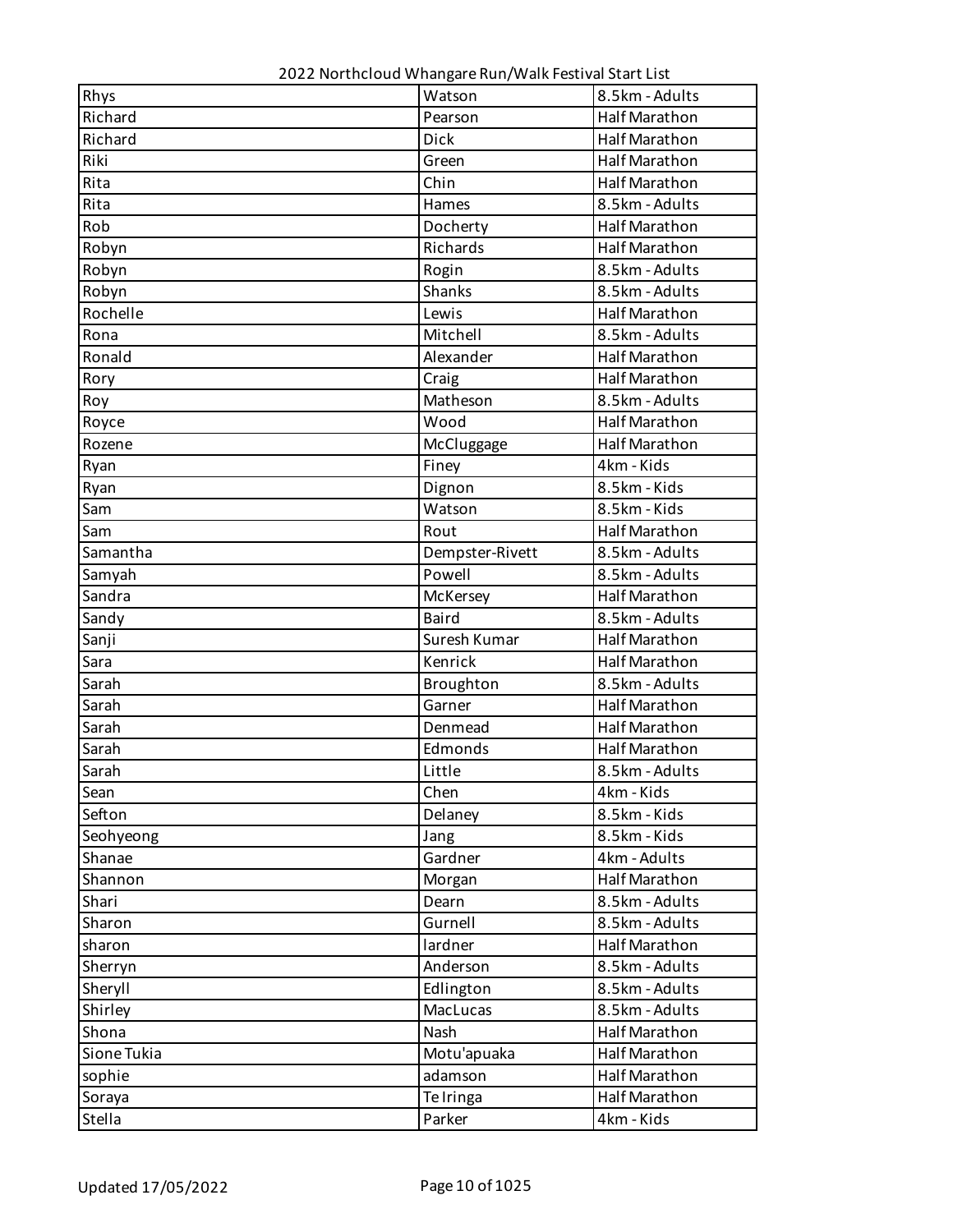2022 Northcloud Whangare Run/Walk Festival Start List

| Rhys        | Watson          | 8.5km - Adults       |
|-------------|-----------------|----------------------|
| Richard     | Pearson         | <b>Half Marathon</b> |
| Richard     | <b>Dick</b>     | Half Marathon        |
| Riki        | Green           | Half Marathon        |
| Rita        | Chin            | Half Marathon        |
| Rita        | Hames           | 8.5km - Adults       |
| Rob         | Docherty        | Half Marathon        |
| Robyn       | Richards        | Half Marathon        |
| Robyn       | Rogin           | 8.5km - Adults       |
| Robyn       | Shanks          | 8.5km - Adults       |
| Rochelle    | Lewis           | Half Marathon        |
| Rona        | Mitchell        | 8.5km - Adults       |
| Ronald      | Alexander       | Half Marathon        |
| Rory        | Craig           | Half Marathon        |
| Roy         | Matheson        | 8.5km - Adults       |
| Royce       | Wood            | Half Marathon        |
| Rozene      | McCluggage      | Half Marathon        |
| Ryan        | Finey           | 4km - Kids           |
| Ryan        | Dignon          | 8.5km - Kids         |
| Sam         | Watson          | 8.5km - Kids         |
| Sam         | Rout            | Half Marathon        |
| Samantha    | Dempster-Rivett | 8.5km - Adults       |
| Samyah      | Powell          | 8.5km - Adults       |
| Sandra      | McKersey        | Half Marathon        |
| Sandy       | <b>Baird</b>    | 8.5km - Adults       |
| Sanji       | Suresh Kumar    | Half Marathon        |
| Sara        | Kenrick         | Half Marathon        |
| Sarah       | Broughton       | 8.5km - Adults       |
| Sarah       | Garner          | Half Marathon        |
| Sarah       | Denmead         | Half Marathon        |
| Sarah       | Edmonds         | Half Marathon        |
| Sarah       | Little          | 8.5km - Adults       |
| Sean        | Chen            | 4km - Kids           |
| Sefton      | Delaney         | 8.5km - Kids         |
| Seohyeong   | Jang            | 8.5km - Kids         |
| Shanae      | Gardner         | 4km - Adults         |
| Shannon     | Morgan          | Half Marathon        |
| Shari       | Dearn           | 8.5km - Adults       |
| Sharon      | Gurnell         | 8.5km - Adults       |
| sharon      | lardner         | Half Marathon        |
| Sherryn     | Anderson        | 8.5km - Adults       |
| Sheryll     | Edlington       | 8.5km - Adults       |
| Shirley     | MacLucas        | 8.5km - Adults       |
| Shona       | Nash            | Half Marathon        |
| Sione Tukia | Motu'apuaka     | Half Marathon        |
| sophie      | adamson         | Half Marathon        |
| Soraya      | Te Iringa       | Half Marathon        |
| Stella      | Parker          | 4km - Kids           |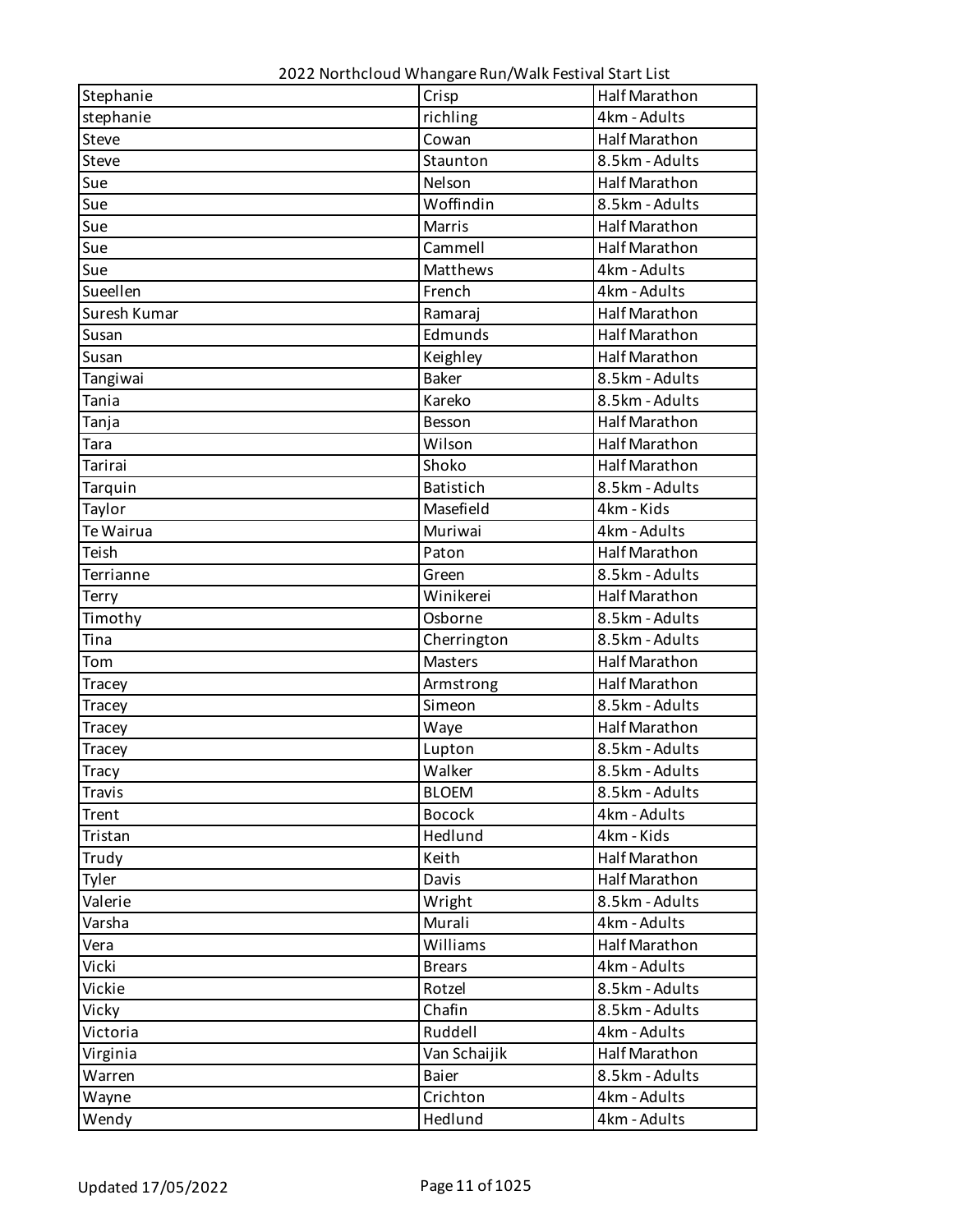2022 Northcloud Whangare Run/Walk Festival Start List

| Stephanie      | Crisp         | <b>Half Marathon</b> |
|----------------|---------------|----------------------|
| stephanie      | richling      | 4km - Adults         |
| Steve          | Cowan         | <b>Half Marathon</b> |
| Steve          | Staunton      | 8.5km - Adults       |
| Sue            | Nelson        | <b>Half Marathon</b> |
| Sue            | Woffindin     | 8.5km - Adults       |
| Sue            | Marris        | <b>Half Marathon</b> |
| Sue            | Cammell       | <b>Half Marathon</b> |
| Sue            | Matthews      | 4km - Adults         |
| Sueellen       | French        | 4km - Adults         |
| Suresh Kumar   | Ramaraj       | <b>Half Marathon</b> |
| Susan          | Edmunds       | <b>Half Marathon</b> |
| Susan          | Keighley      | <b>Half Marathon</b> |
| Tangiwai       | <b>Baker</b>  | 8.5km - Adults       |
| Tania          | Kareko        | 8.5km - Adults       |
| Tanja          | Besson        | <b>Half Marathon</b> |
| Tara           | Wilson        | <b>Half Marathon</b> |
| <b>Tarirai</b> | Shoko         | <b>Half Marathon</b> |
| Tarquin        | Batistich     | 8.5km - Adults       |
| Taylor         | Masefield     | 4km - Kids           |
| Te Wairua      | Muriwai       | 4km - Adults         |
| Teish          | Paton         | Half Marathon        |
| Terrianne      | Green         | 8.5km - Adults       |
| Terry          | Winikerei     | <b>Half Marathon</b> |
| Timothy        | Osborne       | 8.5km - Adults       |
| Tina           | Cherrington   | 8.5km - Adults       |
| Tom            | Masters       | <b>Half Marathon</b> |
| Tracey         | Armstrong     | Half Marathon        |
| Tracey         | Simeon        | 8.5km - Adults       |
| Tracey         | Waye          | <b>Half Marathon</b> |
| <b>Tracey</b>  | Lupton        | 8.5km - Adults       |
| <b>Tracy</b>   | Walker        | 8.5km - Adults       |
| <b>Travis</b>  | <b>BLOEM</b>  | 8.5km - Adults       |
| Trent          | Bocock        | 4km - Adults         |
| Tristan        | Hedlund       | 4km - Kids           |
| Trudy          | Keith         | <b>Half Marathon</b> |
| Tyler          | Davis         | Half Marathon        |
| Valerie        | Wright        | 8.5km - Adults       |
| Varsha         | Murali        | 4km - Adults         |
| Vera           | Williams      | Half Marathon        |
| Vicki          | <b>Brears</b> | 4km - Adults         |
| Vickie         | Rotzel        | 8.5km - Adults       |
| Vicky          | Chafin        | 8.5km - Adults       |
| Victoria       | Ruddell       | 4km - Adults         |
| Virginia       | Van Schaijik  | Half Marathon        |
| Warren         | Baier         | 8.5km - Adults       |
| Wayne          | Crichton      | 4km - Adults         |
| Wendy          | Hedlund       | 4km - Adults         |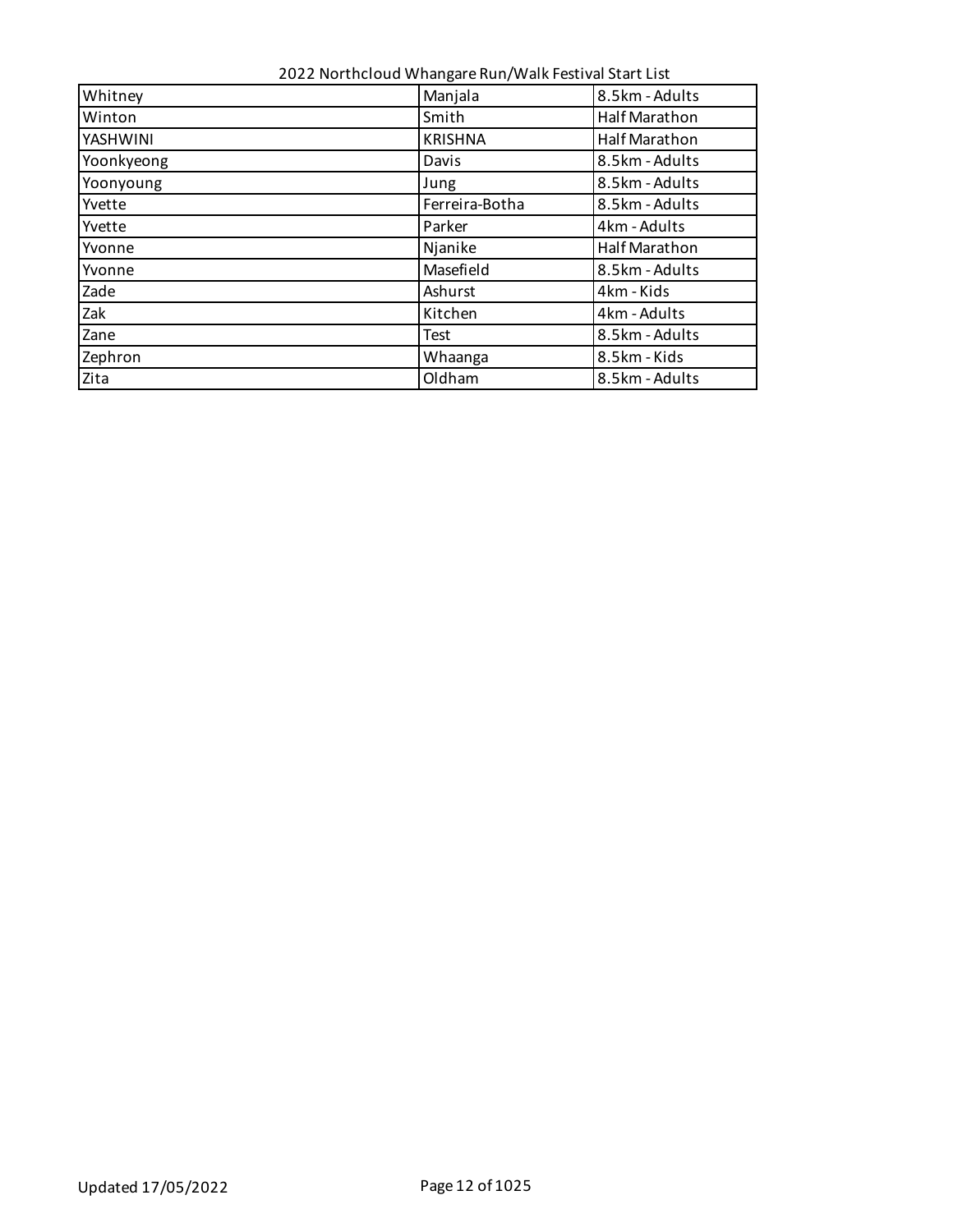2022 Northcloud Whangare Run/Walk Festival Start List

| Whitney         | Manjala        | 8.5km - Adults       |
|-----------------|----------------|----------------------|
| Winton          | Smith          | Half Marathon        |
| <b>YASHWINI</b> | <b>KRISHNA</b> | <b>Half Marathon</b> |
| Yoonkyeong      | Davis          | 8.5km - Adults       |
| Yoonyoung       | Jung           | 8.5km - Adults       |
| Yvette          | Ferreira-Botha | 8.5km - Adults       |
| Yvette          | Parker         | 4km - Adults         |
| Yvonne          | Njanike        | Half Marathon        |
| Yvonne          | Masefield      | 8.5km - Adults       |
| Zade            | Ashurst        | 4km - Kids           |
| Zak             | Kitchen        | 4km - Adults         |
| Zane            | <b>Test</b>    | 8.5km - Adults       |
| Zephron         | Whaanga        | 8.5km - Kids         |
| Zita            | Oldham         | 8.5km - Adults       |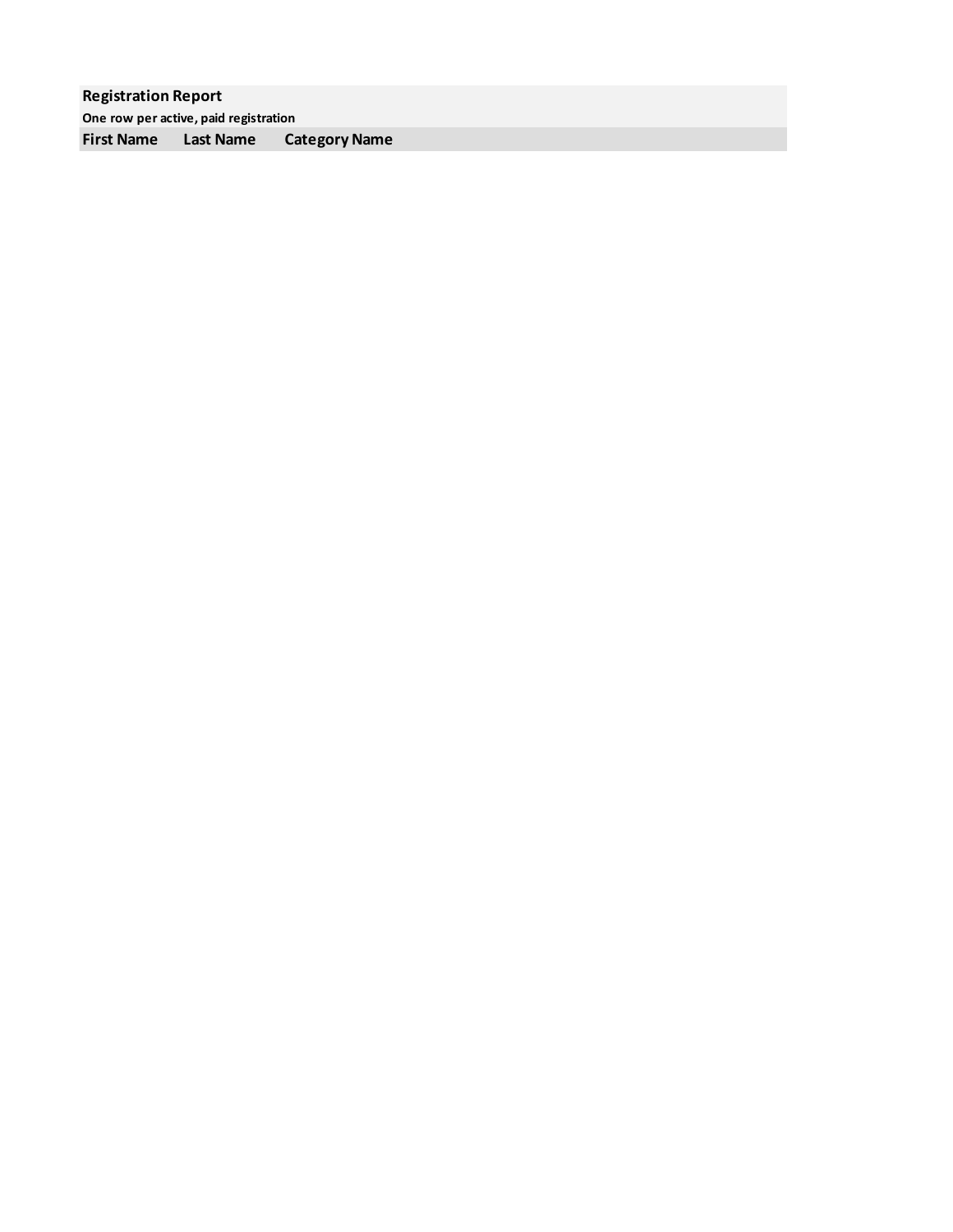**Registration Report One row per active, paid registration First Name Last Name Category Name**